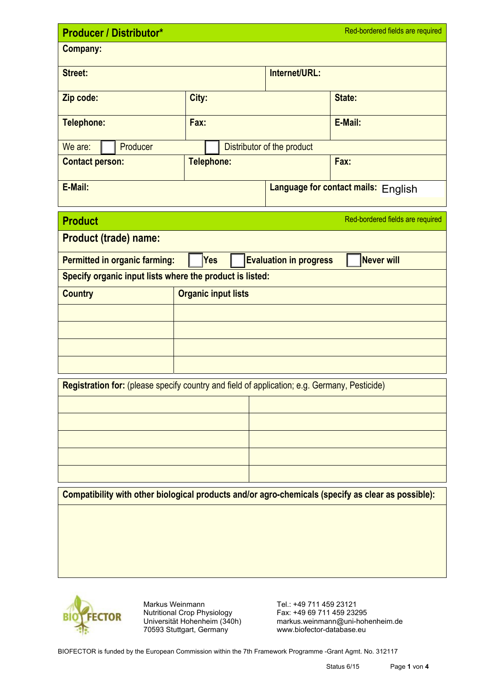| Red-bordered fields are required<br><b>Producer / Distributor*</b>                                       |                                                                                              |       |                            |  |                                     |                                  |
|----------------------------------------------------------------------------------------------------------|----------------------------------------------------------------------------------------------|-------|----------------------------|--|-------------------------------------|----------------------------------|
| <b>Company:</b>                                                                                          |                                                                                              |       |                            |  |                                     |                                  |
| <b>Street:</b>                                                                                           |                                                                                              |       | Internet/URL:              |  |                                     |                                  |
|                                                                                                          |                                                                                              |       |                            |  |                                     |                                  |
| Zip code:                                                                                                |                                                                                              | City: |                            |  |                                     | State:                           |
| <b>Telephone:</b>                                                                                        |                                                                                              | Fax:  |                            |  |                                     | E-Mail:                          |
| We are:                                                                                                  | <b>Producer</b>                                                                              |       |                            |  | Distributor of the product          |                                  |
| <b>Contact person:</b>                                                                                   |                                                                                              |       | <b>Telephone:</b>          |  |                                     | Fax:                             |
| E-Mail:                                                                                                  |                                                                                              |       |                            |  | Language for contact mails: English |                                  |
| <b>Product</b>                                                                                           |                                                                                              |       |                            |  |                                     | Red-bordered fields are required |
|                                                                                                          | <b>Product (trade) name:</b>                                                                 |       |                            |  |                                     |                                  |
| <b>Yes</b><br><b>Evaluation in progress</b><br><b>Never will</b><br><b>Permitted in organic farming:</b> |                                                                                              |       |                            |  |                                     |                                  |
|                                                                                                          | Specify organic input lists where the product is listed:                                     |       |                            |  |                                     |                                  |
| <b>Country</b>                                                                                           |                                                                                              |       | <b>Organic input lists</b> |  |                                     |                                  |
|                                                                                                          |                                                                                              |       |                            |  |                                     |                                  |
|                                                                                                          |                                                                                              |       |                            |  |                                     |                                  |
|                                                                                                          |                                                                                              |       |                            |  |                                     |                                  |
|                                                                                                          |                                                                                              |       |                            |  |                                     |                                  |
|                                                                                                          | Registration for: (please specify country and field of application; e.g. Germany, Pesticide) |       |                            |  |                                     |                                  |
|                                                                                                          |                                                                                              |       |                            |  |                                     |                                  |
|                                                                                                          |                                                                                              |       |                            |  |                                     |                                  |
|                                                                                                          |                                                                                              |       |                            |  |                                     |                                  |
|                                                                                                          |                                                                                              |       |                            |  |                                     |                                  |
|                                                                                                          |                                                                                              |       |                            |  |                                     |                                  |
| Compatibility with other biological products and/or agro-chemicals (specify as clear as possible):       |                                                                                              |       |                            |  |                                     |                                  |
|                                                                                                          |                                                                                              |       |                            |  |                                     |                                  |
|                                                                                                          |                                                                                              |       |                            |  |                                     |                                  |
|                                                                                                          |                                                                                              |       |                            |  |                                     |                                  |
|                                                                                                          |                                                                                              |       |                            |  |                                     |                                  |



Markus Weinmann Nutritional Crop Physiology Universität Hohenheim (340h) 70593 Stuttgart, Germany

Tel.: +49 711 459 23121 Fax: +49 69 711 459 23295 markus.weinmann@uni-hohenheim.de www.biofector-database.eu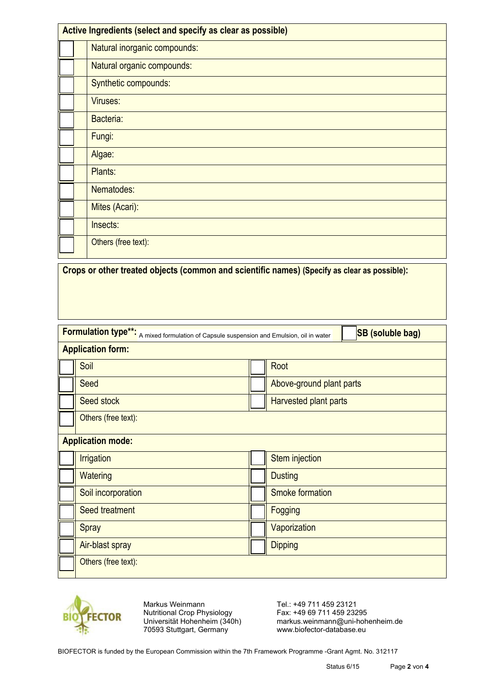| Active Ingredients (select and specify as clear as possible) |                              |  |  |  |
|--------------------------------------------------------------|------------------------------|--|--|--|
|                                                              | Natural inorganic compounds: |  |  |  |
|                                                              | Natural organic compounds:   |  |  |  |
|                                                              | Synthetic compounds:         |  |  |  |
|                                                              | Viruses:                     |  |  |  |
|                                                              | Bacteria:                    |  |  |  |
|                                                              | Fungi:                       |  |  |  |
|                                                              | Algae:                       |  |  |  |
|                                                              | Plants:                      |  |  |  |
|                                                              | Nematodes:                   |  |  |  |
|                                                              | Mites (Acari):               |  |  |  |
|                                                              | Insects:                     |  |  |  |
|                                                              | Others (free text):          |  |  |  |

**Crops or other treated objects (common and scientific names) (Specify as clear as possible):**

| Formulation type**: A mixed formulation of Capsule suspension and Emulsion, oil in water<br><b>SB</b> (soluble bag) |  |                          |  |  |
|---------------------------------------------------------------------------------------------------------------------|--|--------------------------|--|--|
| <b>Application form:</b>                                                                                            |  |                          |  |  |
| Soil<br>Root                                                                                                        |  |                          |  |  |
| Seed                                                                                                                |  | Above-ground plant parts |  |  |
| Seed stock                                                                                                          |  | Harvested plant parts    |  |  |
| Others (free text):                                                                                                 |  |                          |  |  |
| <b>Application mode:</b>                                                                                            |  |                          |  |  |
| Stem injection<br>Irrigation                                                                                        |  |                          |  |  |
| Watering                                                                                                            |  | <b>Dusting</b>           |  |  |
| Soil incorporation                                                                                                  |  | <b>Smoke formation</b>   |  |  |
| Seed treatment                                                                                                      |  | Fogging                  |  |  |
| <b>Spray</b>                                                                                                        |  | Vaporization             |  |  |
| Air-blast spray                                                                                                     |  | <b>Dipping</b>           |  |  |
| Others (free text):                                                                                                 |  |                          |  |  |



Markus Weinmann Nutritional Crop Physiology Universität Hohenheim (340h) 70593 Stuttgart, Germany

Tel.: +49 711 459 23121 Fax: +49 69 711 459 23295 markus.weinmann@uni-hohenheim.de www.biofector-database.eu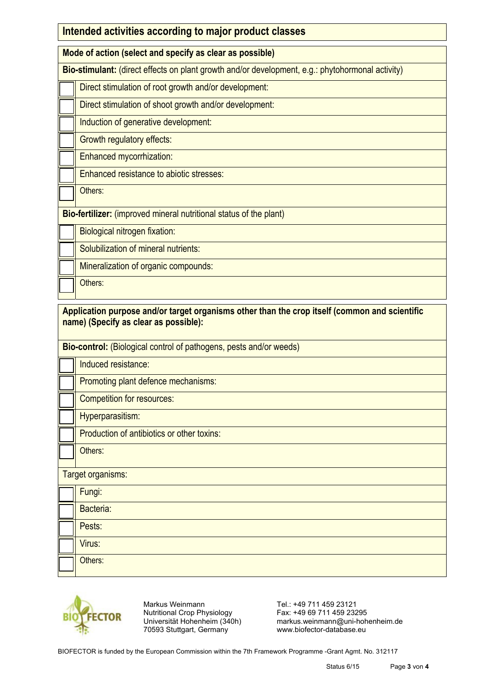| Intended activities according to major product classes                                                                                 |  |  |  |  |
|----------------------------------------------------------------------------------------------------------------------------------------|--|--|--|--|
| Mode of action (select and specify as clear as possible)                                                                               |  |  |  |  |
| Bio-stimulant: (direct effects on plant growth and/or development, e.g.: phytohormonal activity)                                       |  |  |  |  |
| Direct stimulation of root growth and/or development:                                                                                  |  |  |  |  |
| Direct stimulation of shoot growth and/or development:                                                                                 |  |  |  |  |
| Induction of generative development:                                                                                                   |  |  |  |  |
| Growth regulatory effects:                                                                                                             |  |  |  |  |
| Enhanced mycorrhization:                                                                                                               |  |  |  |  |
| Enhanced resistance to abiotic stresses:                                                                                               |  |  |  |  |
| Others:                                                                                                                                |  |  |  |  |
| Bio-fertilizer: (improved mineral nutritional status of the plant)                                                                     |  |  |  |  |
| <b>Biological nitrogen fixation:</b>                                                                                                   |  |  |  |  |
| Solubilization of mineral nutrients:                                                                                                   |  |  |  |  |
| Mineralization of organic compounds:                                                                                                   |  |  |  |  |
| Others:                                                                                                                                |  |  |  |  |
| Application purpose and/or target organisms other than the crop itself (common and scientific<br>name) (Specify as clear as possible): |  |  |  |  |
| Bio-control: (Biological control of pathogens, pests and/or weeds)                                                                     |  |  |  |  |
| Induced resistance:                                                                                                                    |  |  |  |  |
| Promoting plant defence mechanisms:                                                                                                    |  |  |  |  |
| <b>Competition for resources:</b>                                                                                                      |  |  |  |  |
| Hyperparasitism:                                                                                                                       |  |  |  |  |
| Production of antibiotics or other toxins:                                                                                             |  |  |  |  |
| Others:                                                                                                                                |  |  |  |  |
| Target organisms:                                                                                                                      |  |  |  |  |
| Fungi:                                                                                                                                 |  |  |  |  |
| Bacteria:                                                                                                                              |  |  |  |  |
| Pests:                                                                                                                                 |  |  |  |  |
| Virus:                                                                                                                                 |  |  |  |  |
| Others:                                                                                                                                |  |  |  |  |



Markus Weinmann Nutritional Crop Physiology Universität Hohenheim (340h) 70593 Stuttgart, Germany

Tel.: +49 711 459 23121 Fax: +49 69 711 459 23295 markus.weinmann@uni-hohenheim.de www.biofector-database.eu